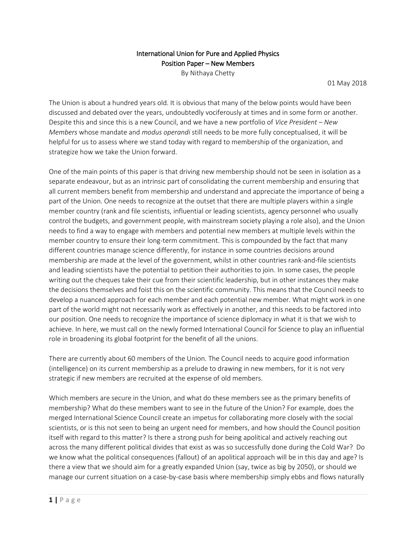## International Union for Pure and Applied Physics Position Paper – New Members

By Nithaya Chetty

01 May 2018

The Union is about a hundred years old. It is obvious that many of the below points would have been discussed and debated over the years, undoubtedly vociferously at times and in some form or another. Despite this and since this is a new Council, and we have a new portfolio of *Vice President – New Members* whose mandate and *modus operandi* still needs to be more fully conceptualised, it will be helpful for us to assess where we stand today with regard to membership of the organization, and strategize how we take the Union forward.

One of the main points of this paper is that driving new membership should not be seen in isolation as a separate endeavour, but as an intrinsic part of consolidating the current membership and ensuring that all current members benefit from membership and understand and appreciate the importance of being a part of the Union. One needs to recognize at the outset that there are multiple players within a single member country (rank and file scientists, influential or leading scientists, agency personnel who usually control the budgets, and government people, with mainstream society playing a role also), and the Union needs to find a way to engage with members and potential new members at multiple levels within the member country to ensure their long-term commitment. This is compounded by the fact that many different countries manage science differently, for instance in some countries decisions around membership are made at the level of the government, whilst in other countries rank-and-file scientists and leading scientists have the potential to petition their authorities to join. In some cases, the people writing out the cheques take their cue from their scientific leadership, but in other instances they make the decisions themselves and foist this on the scientific community. This means that the Council needs to develop a nuanced approach for each member and each potential new member. What might work in one part of the world might not necessarily work as effectively in another, and this needs to be factored into our position. One needs to recognize the importance of science diplomacy in what it is that we wish to achieve. In here, we must call on the newly formed International Council for Science to play an influential role in broadening its global footprint for the benefit of all the unions.

There are currently about 60 members of the Union. The Council needs to acquire good information (intelligence) on its current membership as a prelude to drawing in new members, for it is not very strategic if new members are recruited at the expense of old members.

Which members are secure in the Union, and what do these members see as the primary benefits of membership? What do these members want to see in the future of the Union? For example, does the merged International Science Council create an impetus for collaborating more closely with the social scientists, or is this not seen to being an urgent need for members, and how should the Council position itself with regard to this matter? Is there a strong push for being apolitical and actively reaching out across the many different political divides that exist as was so successfully done during the Cold War? Do we know what the political consequences (fallout) of an apolitical approach will be in this day and age? Is there a view that we should aim for a greatly expanded Union (say, twice as big by 2050), or should we manage our current situation on a case-by-case basis where membership simply ebbs and flows naturally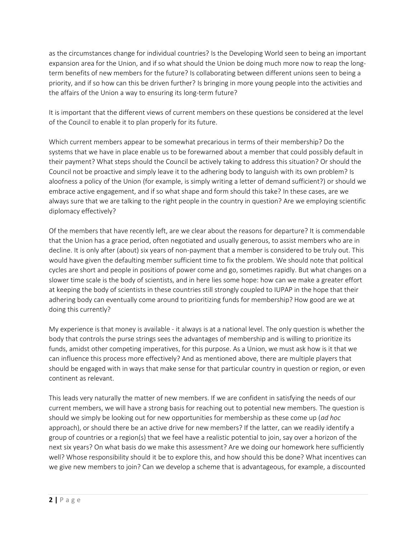as the circumstances change for individual countries? Is the Developing World seen to being an important expansion area for the Union, and if so what should the Union be doing much more now to reap the longterm benefits of new members for the future? Is collaborating between different unions seen to being a priority, and if so how can this be driven further? Is bringing in more young people into the activities and the affairs of the Union a way to ensuring its long-term future?

It is important that the different views of current members on these questions be considered at the level of the Council to enable it to plan properly for its future.

Which current members appear to be somewhat precarious in terms of their membership? Do the systems that we have in place enable us to be forewarned about a member that could possibly default in their payment? What steps should the Council be actively taking to address this situation? Or should the Council not be proactive and simply leave it to the adhering body to languish with its own problem? Is aloofness a policy of the Union (for example, is simply writing a letter of demand sufficient?) or should we embrace active engagement, and if so what shape and form should this take? In these cases, are we always sure that we are talking to the right people in the country in question? Are we employing scientific diplomacy effectively?

Of the members that have recently left, are we clear about the reasons for departure? It is commendable that the Union has a grace period, often negotiated and usually generous, to assist members who are in decline. It is only after (about) six years of non-payment that a member is considered to be truly out. This would have given the defaulting member sufficient time to fix the problem. We should note that political cycles are short and people in positions of power come and go, sometimes rapidly. But what changes on a slower time scale is the body of scientists, and in here lies some hope: how can we make a greater effort at keeping the body of scientists in these countries still strongly coupled to IUPAP in the hope that their adhering body can eventually come around to prioritizing funds for membership? How good are we at doing this currently?

My experience is that money is available - it always is at a national level. The only question is whether the body that controls the purse strings sees the advantages of membership and is willing to prioritize its funds, amidst other competing imperatives, for this purpose. As a Union, we must ask how is it that we can influence this process more effectively? And as mentioned above, there are multiple players that should be engaged with in ways that make sense for that particular country in question or region, or even continent as relevant.

This leads very naturally the matter of new members. If we are confident in satisfying the needs of our current members, we will have a strong basis for reaching out to potential new members. The question is should we simply be looking out for new opportunities for membership as these come up (*ad hoc*  approach), or should there be an active drive for new members? If the latter, can we readily identify a group of countries or a region(s) that we feel have a realistic potential to join, say over a horizon of the next six years? On what basis do we make this assessment? Are we doing our homework here sufficiently well? Whose responsibility should it be to explore this, and how should this be done? What incentives can we give new members to join? Can we develop a scheme that is advantageous, for example, a discounted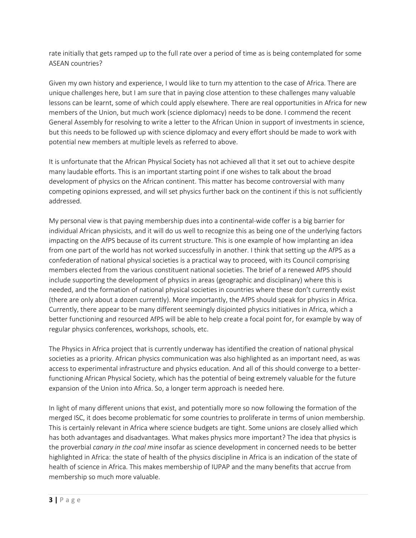rate initially that gets ramped up to the full rate over a period of time as is being contemplated for some ASEAN countries?

Given my own history and experience, I would like to turn my attention to the case of Africa. There are unique challenges here, but I am sure that in paying close attention to these challenges many valuable lessons can be learnt, some of which could apply elsewhere. There are real opportunities in Africa for new members of the Union, but much work (science diplomacy) needs to be done. I commend the recent General Assembly for resolving to write a letter to the African Union in support of investments in science, but this needs to be followed up with science diplomacy and every effort should be made to work with potential new members at multiple levels as referred to above.

It is unfortunate that the African Physical Society has not achieved all that it set out to achieve despite many laudable efforts. This is an important starting point if one wishes to talk about the broad development of physics on the African continent. This matter has become controversial with many competing opinions expressed, and will set physics further back on the continent if this is not sufficiently addressed.

My personal view is that paying membership dues into a continental-wide coffer is a big barrier for individual African physicists, and it will do us well to recognize this as being one of the underlying factors impacting on the AfPS because of its current structure. This is one example of how implanting an idea from one part of the world has not worked successfully in another. I think that setting up the AfPS as a confederation of national physical societies is a practical way to proceed, with its Council comprising members elected from the various constituent national societies. The brief of a renewed AfPS should include supporting the development of physics in areas (geographic and disciplinary) where this is needed, and the formation of national physical societies in countries where these don't currently exist (there are only about a dozen currently). More importantly, the AfPS should speak for physics in Africa. Currently, there appear to be many different seemingly disjointed physics initiatives in Africa, which a better functioning and resourced AfPS will be able to help create a focal point for, for example by way of regular physics conferences, workshops, schools, etc.

The Physics in Africa project that is currently underway has identified the creation of national physical societies as a priority. African physics communication was also highlighted as an important need, as was access to experimental infrastructure and physics education. And all of this should converge to a betterfunctioning African Physical Society, which has the potential of being extremely valuable for the future expansion of the Union into Africa. So, a longer term approach is needed here.

In light of many different unions that exist, and potentially more so now following the formation of the merged ISC, it does become problematic for some countries to proliferate in terms of union membership. This is certainly relevant in Africa where science budgets are tight. Some unions are closely allied which has both advantages and disadvantages. What makes physics more important? The idea that physics is the proverbial *canary in the coal mine* insofar as science development in concerned needs to be better highlighted in Africa: the state of health of the physics discipline in Africa is an indication of the state of health of science in Africa. This makes membership of IUPAP and the many benefits that accrue from membership so much more valuable.